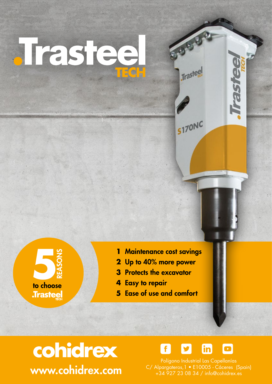

to choose **Trastee** 

- 1 Maintenance cost savings
- 2 Up to 40% more power
- **3** Protects the excavator
- 4 Easy to repair
- 5 Ease of use and comfort





**Trastee** 

**S170NC** 

Polígono Industrial Las Capellanías C/ Alpargateros, 1 · E10005 - Cáceres (Spain) +34 927 23 08 34 / info@cohidrex.es